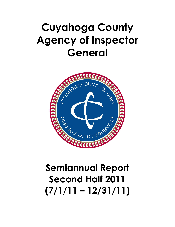## Cuyahoga County Agency of Inspector General



## Second Half 2011  $(7/1/11 - 12/31/11)$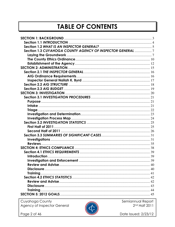## **TABLE OF CONTENTS**

| Section 1.3 CUYAHOGA COUNTY AGENCY OF INSPECTOR GENERAL 7 |  |
|-----------------------------------------------------------|--|
|                                                           |  |
|                                                           |  |
|                                                           |  |
|                                                           |  |
|                                                           |  |
|                                                           |  |
|                                                           |  |
|                                                           |  |
|                                                           |  |
|                                                           |  |
|                                                           |  |
|                                                           |  |
|                                                           |  |
|                                                           |  |
|                                                           |  |
|                                                           |  |
|                                                           |  |
|                                                           |  |
|                                                           |  |
|                                                           |  |
|                                                           |  |
|                                                           |  |
|                                                           |  |
|                                                           |  |
|                                                           |  |
|                                                           |  |
|                                                           |  |
|                                                           |  |
|                                                           |  |
|                                                           |  |
|                                                           |  |
|                                                           |  |
| Training                                                  |  |
|                                                           |  |

Cuyahoga County<br>Agency of Inspector General



Semiannual Report<br>2<sup>nd</sup> Half 2011

Date Issued: 2/23/12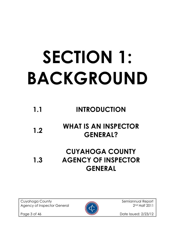# SECTION 1: BACKGROUND

## 1.1 INTRODUCTION

## 1.2 WHAT IS AN INSPECTOR GENERAL?

### 1.3 CUYAHOGA COUNTY AGENCY OF INSPECTOR GENERAL

Cuyahoga County **Semiannual Report** Semiannual Report Agency of Inspector General 2011



Page 3 of 46 **Date Issued: 2/23/12**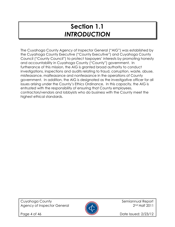## Section 1.1 INTRODUCTION

The Cuyahoga County Agency of Inspector General ("AIG") was established by the Cuyahoga County Executive ("County Executive") and Cuyahoga County Council ("County Council") to protect taxpayers' interests by promoting honesty and accountability in Cuyahoga County ("County") government. In furtherance of this mission, the AIG is granted broad authority to conduct investigations, inspections and audits relating to fraud, corruption, waste, abuse, misfeasance, malfeasance and nonfeasance in the operations of County government. In addition, the AIG is designated as the investigative officer for all issues arising under the County's Ethics Ordinance. In this capacity, the AIG is entrusted with the responsibility of ensuring that County employees, contractors/vendors and lobbyists who do business with the County meet the highest ethical standards.



Page 4 of 46 **Date Issued: 2/23/12**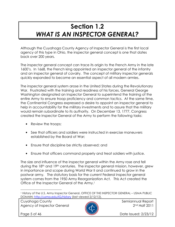## Section 1.2 WHAT IS AN INSPECTOR GENERAL?

Although the Cuyahoga County Agency of Inspector General is the first local agency of this type in Ohio, the inspector general concept is one that dates back over 200 years.

The inspector general concept can trace its origin to the French Army in the late 1600's. In 1668, the French king appointed an inspector general of the infantry and an inspector general of cavalry. The concept of military inspector generals quickly expanded to become an essential aspect of all modern armies.

The inspector general system arose in the United States during the Revolutionary War. Frustrated with the training and readiness of his forces, General George Washington designated an Inspector General to superintend the training of the entire Army to ensure troop proficiency and common tactics. At the same time, the Continental Congress expressed a desire to appoint an inspector general to help in accountability for the military investments and to assure that the military would remain subordinate to its authority. On December 13, 1777, Congress created the Inspector General of the Army to perform the following tasks:

- Review the troops;
- See that officers and soldiers were instructed in exercise maneuvers established by the Board of War;
- Ensure that discipline be strictly observed; and
- Ensure that officers command properly and treat soldiers with justice.

The size and influence of the inspector general within the Army rose and fell during the 18th and 19th centuries. The inspector general mission, however, grew in importance and scope during World War II and continued to grow in the postwar army. The statutory basis for the current Federal inspector general system comes from the 1950 Army Reorganization Act. This Act created the Office of the Inspector General of the Army.<sup>1</sup>

Cuyahoga County and Semiannual Report Agency of Inspector General 2012 2nd Half 2011



l

Page 5 of 46 **Date Issued: 2/23/12** 

<sup>1</sup> History of the U.S. Army Inspector General, OFFICE OF THE INSPECTOR GENERAL – USMA PUBLIC DOMAIN; http://usma.edu/IG/history (last viewed 2/12/12).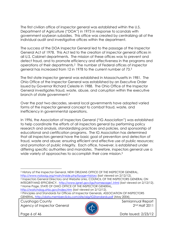The first civilian office of inspector general was established within the U.S. Department of Agriculture ("DOA") in 1973 in response to scandals with government soybean subsidies. This office was created by centralizing all of the individual audit and investigative offices within the department.

The success of the DOA Inspector General led to the passage of the Inspector General Act of 1978. This Act led to the creation of inspector general offices in all U.S. Cabinet departments. The mission of these offices was to prevent and detect fraud, and to promote efficiency and effectiveness in the programs and operations of their departments.2 The number of Federal offices of inspector general has increased from 12 in 1978 to the current number of 73.<sup>3</sup>

The first state inspector general was established in Massachusetts in 1981. The Ohio Office of the Inspector General was established by an Executive Order issued by Governor Richard Celeste in 1988. The Ohio Office of the Inspector General investigates fraud, waste, abuse, and corruption within the executive branch of state government.<sup>4</sup>

Over the past two decades, several local governments have adopted varied forms of the inspector general concept to combat fraud, waste, and inefficiency in governmental operations.

In 1996, the Association of Inspectors General ("IG Association") was established to help coordinate the efforts of all inspectors general by performing policy research and analysis, standardizing practices and policies, and sponsorship of educational and certification programs. The IG Association has determined that all inspectors general have the basic goal of prevention and detection of fraud, waste and abuse; ensuring efficient and effective use of public resources; and promotion of public integrity. Each office, however, is established under differing specific authorities and mandates. Therefore, inspectors general use a wide variety of approaches to accomplish their core mission.<sup>5</sup>

<sup>2</sup> History of the Inspector General, NEW ORLEANS OFFICE OF THE INSPECTOR GENERAL, http://www.nolaoig.org/main/inside.php?page=history (last viewed on 2/12/12). <sup>3</sup> Inspectors General Directory and Website Links, COUNCIL OF THE INSPECTORS GENERAL ON INTEGRITYAND EFFICIENCY, http://www.ignet.gov/igs/homepage1.html (last viewed on 2/12/12). <sup>4</sup> Home Page, STATE OF OHIO OFFICE OF THE INSPECTOR GENERAL,

http://watchdog.ohio.gov/index.htm (last viewed on 2/12/12).

<sup>5</sup> Principles and Standards for Offices of Inspector Generals, ASSOCIATION OF INSPECTORS GENERAL, http://data.memberclicks.com/site/aig/IGStandards.pdf (May 2004).

Cuyahoga County **Semiannual Report** Semiannual Report Agency of Inspector General 2012 2nd Half 2011



l

Page 6 of 46 **Date Issued: 2/23/12**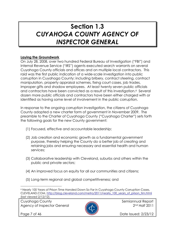## Section 1.3 CUYAHOGA COUNTY AGENCY OF INSPECTOR GENERAL

#### Laying the Groundwork

On July 28, 2008, over two hundred Federal Bureau of Investigation ("FBI") and Internal Revenue Service ("IRS") agents executed search warrants on several Cuyahoga County officials and offices and on multiple local contractors. This raid was the first public indication of a wide-scale investigation into public corruption in Cuyahoga County; including bribery, contract steering, contract manipulation, property appraisal schemes, fixing court cases, job trades, improper gifts and shadow employees. At least twenty seven public officials and contractors have been convicted as a result of this investigation.<sup>6</sup> Several dozen more public officials and contractors have been either charged with or identified as having some level of involvement in the public corruption.

In response to the ongoing corruption investigation, the citizens of Cuyahoga County adopted a new charter form of government in November 2009. The preamble to the Charter of Cuyahoga County ("Cuyahoga Charter") sets forth the following goals for the new County government:

- (1) Focused, effective and accountable leadership;
- (2) Job creation and economic growth as a fundamental government purpose, thereby helping the County do a better job of creating and retaining jobs and ensuring necessary and essential health and human services;
- (3) Collaborative leadership with Cleveland, suburbs and others within the public and private sectors;
- (4) An improved focus on equity for all our communities and citizens;
- (5) Long-term regional and global competitiveness; and

Cuyahoga County **Semiannual Report** Semiannual Report Agency of Inspector General 2012 2nd Half 2011



l

Page 7 of 46 **Date Issued: 2/23/12** 

<sup>6</sup> Nearly 100 Years of Prison Time Handed Down So Far in Cuyahoga County Corruption Cases, CLEVELAND.COM, http://blog.cleveland.com/metro/2011/nearly\_100\_years\_of\_prison\_tim.html (last viewed 2/12/12).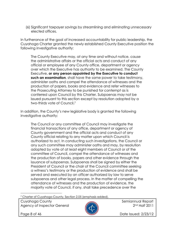(6) Significant taxpayer savings by streamlining and eliminating unnecessary elected offices.

In furtherance of the goal of increased accountability for public leadership, the Cuyahoga Charter granted the newly established County Executive position the following investigative authority:

The County Executive may, at any time and without notice, cause the administrative affairs or the official acts and conduct of any official or employee of any County office, department or agency over which the Executive has authority to be examined. The County Executive, or any person appointed by the Executive to conduct such an examination, shall have the same power to take testimony, administer oaths and compel the attendance of witnesses and the production of papers, books and evidence and refer witnesses to the Prosecuting Attorney to be punished for contempt as is conferred upon Council by this Charter. Subpoenas may not be issued pursuant to this section except by resolution adopted by a two-thirds vote of Council.<sup>7</sup>

In addition, the County's new legislative body is granted the following investigative authority:

The Council or any committee of Council may investigate the financial transactions of any office, department or agency of County government and the official acts and conduct of any County official relating to any matter upon which Council is authorized to act. In conducting such investigations, the Council or any such committee may administer oaths and may, by resolution adopted by vote of at least eight members of Council or of the committee of Council, compel the attendance of witnesses and the production of books, papers and other evidence through the issuance of subpoenas. Subpoenas shall be signed by either the President of Council or the chair of the Council committee seeking a witness's testimony or the production of evidence and shall be served and executed by an officer authorized by law to serve subpoenas and other legal process. In the matter of compelling the attendance of witnesses and the production of evidence, the majority vote of Council, if any, shall take precedence over the

7 Charter of Cuyahoga County, Section 2.05 (emphasis added).

Cuyahoga County **Semiannual Report** of the semiannual Report Agency of Inspector General 2012 2nd Half 2011



l

Page 8 of 46 **Date Issued: 2/23/12**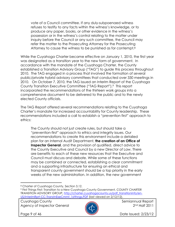vote of a Council committee. If any duly-subpoenaed witness refuses to testify to any facts within the witness's knowledge, or to produce any paper, books, or other evidence in the witness's possession or in the witness's control relating to the matter under inquiry before the Council or any such committee, the Council may refer the matter to the Prosecuting Attorney for the Prosecuting Attorney to cause the witness to be punished as for contempt.<sup>8</sup>

While the Cuyahoga Charter became effective on January 1, 2010, the first year was designated as a transition year to the new form of government. In accordance with the mandate of the Cuyahoga Charter, the County established a Transition Advisory Group ("TAG") to guide this process throughout 2010. The TAG engaged in a process that involved the formation of several public/private hybrid advisory committees that conducted over 330 meetings in 2010. On October 7, 2010, the TAG issued an Interim Report of the Cuyahoga County Transition Executive Committee ("TAG Report").9 This report incorporated the recommendations of the thirteen work groups into a comprehensive document to be delivered to the public and to the newly elected County officials.

The TAG Report offered several recommendations relating to the Cuyahoga Charter's mandate for increased accountability for County leadership. These recommendations included a call to establish a "prevention first" approach to ethics:

The County should not just create rules, but should take a "prevention-first" approach to ethics and integrity issues. Our recommendations to create this environment include a detailed plan for an Internal Audit Department, the creation of an Office of Inspector General, and the provision of qualified, direct advice to the County Executive and Council by a new Director of Law. There are benefits to each of these new resources that the Executive and Council must discuss and debate. While some of these functions may be combined or connected, establishing a clear commitment and a supporting infrastructure for ensuring an ethical and transparent county government should be a top priority in the early weeks of the new administration. In addition, the new government

Cuyahoga County **Semiannual Report** of the semiannual Report Agency of Inspector General 2012 2nd Half 2011



l

Page 9 of 46 **Date Issued: 2/23/12** 

<sup>8</sup> Charter of Cuyahoga County, Section 3.12.

<sup>9</sup> First Things First: Transition to a New Cuyahoga County Government, COUNTY CHARTER TRANSITION ADVISORY GROUP, http://charter.cuyahogacounty.us/pdf\_transitioninfo/en-US/InterimRprt-CC-TranstnExeCmmt\_1stthngs.PDF (last viewed on 2/12/12).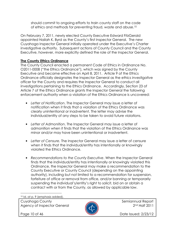should commit to ongoing efforts to train county staff on the code of ethics and methods for preventing fraud, waste and abuse.<sup>10</sup>

On February 7, 2011, newly elected County Executive Edward FitzGerald appointed Nailah K. Byrd as the County's first Inspector General. The new Cuyahoga Inspector General initially operated under the Executive's Charter investigative authority. Subsequent actions of County Council and the County Executive, however, more explicitly defined the role of the Inspector General.

#### The County Ethics Ordinance

The County Council enacted a permanent Code of Ethics in Ordinance No. O2011-0008 ("the Ethics Ordinance"), which was signed by the County Executive and became effective on April 8, 2011. Article 9 of the Ethics Ordinance officially designates the Inspector General as the ethics investigative officer for the County and requires the Inspector General to conduct all investigations pertaining to the Ethics Ordinance. Accordingly, Section 23 of Article 7 of the Ethics Ordinance grants the Inspector General the following enforcement authority when a violation of the Ethics Ordinance is uncovered:

- Letter of Notification. The Inspector General may issue a letter of notification when it finds that a violation of the Ethics Ordinance was clearly unintentional or inadvertent. The letter may advise the individual/entity of any steps to be taken to avoid future violations.
- Letter of Admonition. The Inspector General may issue a letter of admonition when it finds that the violation of the Ethics Ordinance was minor and/or may have been unintentional or inadvertent.
- Letter of Censure. The Inspector General may issue a letter of censure when it finds that the individual/entity has intentionally or knowingly violated the Ethics Ordinance.
- Recommendations to the County Executive. When the Inspector General finds that the individual/entity has intentionally or knowingly violated this Ordinance, the Inspector General may make a recommendation to the County Executive or County Council (depending on the appointing authority), including but not limited to a recommendation for suspension, forfeiture of office or removal from office, and/or banning or temporarily suspending the individual's/entity's right to solicit, bid on or obtain a contract with or from the County, as allowed by applicable law.

10 Id. at p. 9 (emphasis added).

Cuyahoga County **Semiannual Report** Semiannual Report Agency of Inspector General 2012 2nd Half 2011



l

Page 10 of 46 **Date Issued: 2/23/12**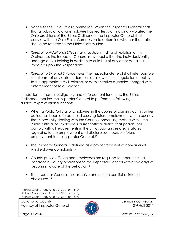- Notice to the Ohio Ethics Commission. When the Inspector General finds that a public official or employee has recklessly or knowingly violated the Ohio provisions of the Ethics Ordinance, the Inspector General shall consult with the Ohio Ethics Commission to determine whether the matter should be referred to the Ethics Commission.
- Referral to Additional Ethics Training. Upon finding of violation of this Ordinance, the Inspector General may require that the individual/entity undergo ethics training in addition to or in lieu of any other penalties imposed upon the Respondent.
- Referral to External Enforcement. The Inspector General shall refer possible violation(s) of any state, federal, or local law, or rule, regulation or policy to the appropriate civil, criminal or administrative agencies charged with enforcement of said violation.

In addition to these investigatory and enforcement functions, the Ethics Ordinance requires the Inspector General to perform the following disclosure/prevention functions:

- When a Public Official or Employee, in the course of carrying out his or her duties, has been offered or is discussing future employment with a business that is presently dealing with the County concerning matters within the Public Official or Employee's current official duties, that person shall comply with all requirements in the Ethics Law and related statutes regarding future employment and disclose such possible future employment to the Inspector General.<sup>11</sup>
- The Inspector General is defined as a proper recipient of non-criminal whistleblower complaints.<sup>12</sup>
- County public officials and employees are required to report criminal behavior in County operations to the Inspector General within five days of becoming aware of the behavior.<sup>13</sup>
- The Inspector General must receive and rule on conflict of interest disclosures.<sup>14</sup>

Cuyahoga County **Semiannual Report** Semiannual Report Agency of Inspector General 2012 2nd Half 2011



l

Page 11 of 46 **Date Issued: 2/23/12** 

<sup>11</sup> Ethics Ordinance, Article 7, Section 16(D).

<sup>12</sup> Ethics Ordinance, Article 7, Section 17(B). 13 Ethics Ordinance, Article 7, Section 18(A).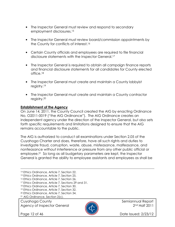- The Inspector General must review and respond to secondary employment disclosures.<sup>15</sup>
- The Inspector General must review board/commission appointments by the County for conflicts of interest.<sup>16</sup>
- Certain County officials and employees are required to file financial disclosure statements with the Inspector General.<sup>17</sup>
- The Inspector General is required to obtain all campaign finance reports and financial disclosure statements for all candidates for County elected office.<sup>18</sup>
- The Inspector General must create and maintain a County lobbyist registry.<sup>19</sup>
- The Inspector General must create and maintain a County contractor registry.<sup>20</sup>

#### Establishment of the Agency

On June 14, 2011, the County Council created the AIG by enacting Ordinance No. O2011-0019 ("the AIG Ordinance"). The AIG Ordinance creates an independent agency under the direction of the Inspector General, but also sets forth specific requirements and limitations designed to ensure that the AIG remains accountable to the public.

The AIG is authorized to conduct all examinations under Section 2.05 of the Cuyahoga Charter and does, therefore, have all such rights and duties to investigate fraud, corruption, waste, abuse, misfeasance, malfeasance, and nonfeasance without interference or pressure from any other public official or employee.21 So long as all budgetary parameters are kept, the Inspector General is granted the ability to employee assistants and employees as shall be

- 14 Ethics Ordinance, Article 7, Section 22.
- <sup>15</sup> Ethics Ordinance, Article 7, Section 25.
- 16 Ethics Ordinance, Article 7, Section 26.
- 17 Ethics Ordinance, Article 7, Sections 29 and 31.
- 18 Ethics Ordinance, Article 7, Section 30.
- <sup>19</sup> Ethics Ordinance, Article 7, Section 32.
- <sup>20</sup> Ethics Ordinance, Article 7, Section 34.
- 21 AIG Ordinance, Section 2(c).

Cuyahoga County **Semiannual Report** Semiannual Report Agency of Inspector General 2012 2nd Half 2011



l

Page 12 of 46 **Date Issued: 2/23/12**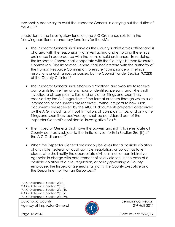reasonably necessary to assist the Inspector General in carrying out the duties of the AIG.<sup>22</sup>

In addition to the investigatory function, the AIG Ordinance sets forth the following additional mandatory functions for the AIG:

- The Inspector General shall serve as the County's chief ethics officer and is charged with the responsibility of investigating and enforcing the ethics ordinance in accordance with the terms of said ordinance. In so doing, the Inspector General shall cooperate with the County's Human Resource Commission. The Inspector General shall not interfere with the authority of the Human Resource Commission to ensure "compliance with ethics resolutions or ordinances as passed by the Council" under Section 9.02(3) of the County Charter.<sup>23</sup>
- The Inspector General shall establish a "hotline" and web site to receive complaints from either anonymous or identified persons, and s/he shall investigate all complaints, tips, and any other filings and submittals received by the AIG regardless of the format or forum through which such information or documents are received. Without regard to how such documents are received by the AIG, all documents prepared or received by the AIG, including, without limitation, all complaints, tips, and any other filings and submittals received by it shall be considered part of the Inspector General's confidential investigative files.<sup>24</sup>
- The Inspector General shall have the powers and rights to investigate all County contracts subject to the limitations set forth in Section 2(d)(iii) of the AIG Ordinance.<sup>25</sup>
- When the Inspector General reasonably believes that a possible violation of any state, federal, or local law, rule, regulation, or policy has taken place, s/he shall notify the appropriate civil, criminal, or administrative agencies in charge with enforcement of said violation. In the case of a possible violation of a rule, regulation, or policy governing a County employee, the Inspector General shall notify the County Executive and the Department of Human Resources.<sup>26</sup>

26 AIG Ordinance, Section 2(c)(iv).

Cuyahoga County **Semiannual Report** Semiannual Report Agency of Inspector General 2012 2nd Half 2011



l



Page 13 of 46 **Date Issued: 2/23/12** 

<sup>22</sup> AIG Ordinance, Section 2(b).

<sup>23</sup> AIG Ordinance, Section 2(c)(i).

<sup>24</sup> AIG Ordinance, Section 2(c)(ii).

<sup>25</sup> AIG Ordinance, Section 2(c)(iii).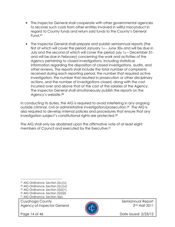- The Inspector General shall cooperate with other governmental agencies to recover such costs from other entities involved in willful misconduct in regard to County funds and return said funds to the County's General Fund.<sup>27</sup>
- The Inspector General shall prepare and publish semiannual reports (the first of which will cover the period January  $1<sub>st</sub>$  – June 30th and will be due in July and the second of which will cover the period July  $1<sub>st</sub>$  – December 31st and will be due in February) concerning the work and activities of the Agency pertaining to closed investigations, including statistical information regarding the disposition of closed investigations, audits, and other reviews. The reports shall include the total number of complaints received during each reporting period, the number that required active investigation, the number that resulted in prosecution or other disciplinary actions, and the number of investigations closed, along with the cost incurred over and above that of the cost of the salaries of the Agency. The Inspector General shall simultaneously publish the reports on the Agency's website.<sup>28</sup>

In conducting its duties, the AIG is required to avoid interfering in any ongoing outside criminal, civil or administrative investigation/prosecution.29 The AIG is also required to develop internal policies and procedures that ensure that any investigation subject's constitutional rights are protected.<sup>30</sup>

The AIG shall only be abolished upon the affirmative vote of at least eight members of Council and executed by the Executive.<sup>31</sup>

Cuyahoga County **Semiannual Report** of the semiannual Report Agency of Inspector General 2012 2nd Half 2011

l



Page 14 of 46 **Date Issued: 2/23/12** 

<sup>27</sup> AIG Ordinance, Section 2(c)(v).

<sup>28</sup> AIG Ordinance, Section 2(c)(vi)

<sup>29</sup> AIG Ordinance, Section 2(d)(1).

<sup>30</sup> AIG Ordinance, Section 2(d)(ii).

<sup>31</sup> AIG Ordinance, Section 3(e).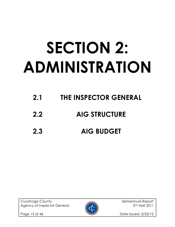# SECTION 2: ADMINISTRATION

- 2.1 THE INSPECTOR GENERAL
- 2.2 AIG STRUCTURE
- 2.3 AIG BUDGET

Cuyahoga County **Semiannual Report** Semiannual Report Agency of Inspector General 2012 2nd Half 2011



Page 15 of 46 **Date Issued: 2/23/12**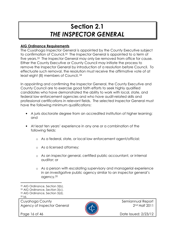## Section 2.1 THE INSPECTOR GENERAL

#### AIG Ordinance Requirements

The Cuyahoga Inspector General is appointed by the County Executive subject to confirmation of Council.32 The Inspector General is appointed to a term of five years.33 The Inspector General may only be removed from office for cause. Either the County Executive or County Council may initiate the process to remove the Inspector General by introduction of a resolution before Council. To effectuate such removal, the resolution must receive the affirmative vote of at least eight (8) members of Council. 34

In appointing and confirming the Inspector General, the County Executive and County Council are to exercise good faith efforts to seek highly qualified candidates who have demonstrated the ability to work with local, state, and federal law enforcement agencies and who have audit-related skills and professional certifications in relevant fields. The selected Inspector General must have the following minimum qualifications:

- A juris doctorate degree from an accredited institution of higher learning; and
- At least ten years' experience in any one or a combination of the following fields:
	- o As a federal, state, or local law enforcement agent/official;
	- o As a licensed attorney;
	- o As an inspector general, certified public accountant, or internal auditor; or
	- o As a person with escalating supervisory and managerial experience in an investigative public agency similar to an inspector general's agency.<sup>35</sup>

l

Cuyahoga County **Semiannual Report** Semiannual Report Agency of Inspector General 2012 2nd Half 2011



Page 16 of 46 **Date Issued: 2/23/12** 

<sup>32</sup> AIG Ordinance, Section 3(b).

<sup>33</sup> AIG Ordinance, Section 3(c).

<sup>34</sup> AIG Ordinance, Section 3(d).

 $35$  Id.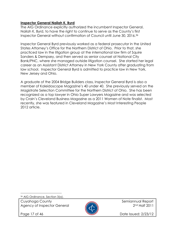#### Inspector General Nailah K. Byrd

The AIG Ordinance explicitly authorized the incumbent Inspector General, Nailah K. Byrd, to have the right to continue to serve as the County's first Inspector General without confirmation of Council until June 30, 2016.<sup>36</sup>

Inspector General Byrd previously worked as a federal prosecutor in the United States Attorney's Office for the Northern District of Ohio. Prior to that, she practiced law in the litigation group at the international law firm of Squire Sanders & Dempsey, and then served as senior counsel at National City Bank/PNC, where she managed outside litigation counsel. She started her legal career as an Assistant District Attorney in New York County after graduating from law school. Inspector General Byrd is admitted to practice law in New York, New Jersey and Ohio.

A graduate of the 2004 Bridge Builders class, Inspector General Byrd is also a member of Kaleidoscope Magazine's 40 under 40. She previously served on the Magistrate Selection Committee for the Northern District of Ohio. She has been recognized as a top lawyer in Ohio Super Lawyers Magazine and was selected by Crain's Cleveland Business Magazine as a 2011 Women of Note finalist. Most recently, she was featured in Cleveland Magazine's Most Interesting People 2012 article.

36 AIG Ordinance, Section 3(a).

Cuyahoga County **Semiannual Report** Semiannual Report Agency of Inspector General 2012 2nd Half 2011

l



Page 17 of 46 **Date Issued: 2/23/12**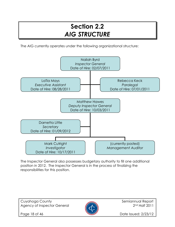## Section 2.2 AIG STRUCTURE

The AIG currently operates under the following organizational structure:



The Inspector General also possesses budgetary authority to fill one additional position in 2012. The Inspector General is in the process of finalizing the responsibilities for this position.

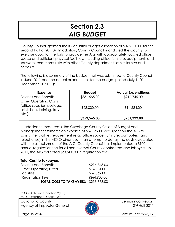## Section 2.3 AIG BUDGET

County Council granted the IG an initial budget allocation of \$375,000.00 for the second half of 2011.37 In addition, County Council mandated the County to exercise good faith efforts to provide the AIG with appropriately located office space and sufficient physical facilities, including office furniture, equipment, and software, commensurate with other County departments of similar size and needs.<sup>38</sup>

The following is a summary of the budget that was submitted to County Council in June 2011 and the actual expenditures for the budget period (July 1, 2011 – December 31, 2011):

| <b>Expense</b>                                                                                      | <b>Budget</b> | <b>Actual Expenditures</b> |
|-----------------------------------------------------------------------------------------------------|---------------|----------------------------|
| Salaries and Benefits                                                                               | \$331,565.00  | \$216,745.00               |
| <b>Other Operating Costs</b><br>(office supplies, postage,<br>print shop, training, travel,<br>etc. | \$28,000.00   | \$14,584.00                |
|                                                                                                     | \$359,565.00  | \$231,329.00               |

In addition to these costs, the Cuyahoga County Office of Budget and Management estimates an expense of \$67,369.00 was spent on the AIG to satisfy the facilities requirement (e.g., office space, furniture, computers, and telephones) in the AIG Ordinance. In an attempt to defray the costs associated with the establishment of the AIG, County Council has implemented a \$100 annual registration fee for all non-exempt County contractors and lobbyists. In 2011, the AIG collected \$64,900.00 in registration fees.

#### Total Cost to Taxpayers

| Salaries and Benefits                 | \$216,745.00     |
|---------------------------------------|------------------|
| <b>Other Operating Costs</b>          | \$14,584.00      |
| <b>Facilities</b>                     | \$67,369.00      |
| (Registration Fee)                    | $($ \$64,900.00) |
| TOTAL COST TO TAXPAYERS: \$233,798.00 |                  |

<sup>37</sup> AIG Ordinance, Section 2(e)(i). 38 AIG Ordinance, Section 2(f).

Cuyahoga County **Semiannual Report** Semiannual Report Agency of Inspector General 2012 2nd Half 2011



l

Page 19 of 46 **Date Issued: 2/23/12**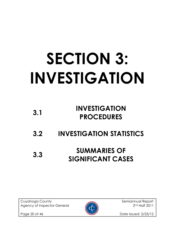# SECTION 3: INVESTIGATION

| 3.1 | <b>INVESTIGATION</b> |
|-----|----------------------|
|     | <b>PROCEDURES</b>    |

3.2 INVESTIGATION STATISTICS

## 3.3 SUMMARIES OF SIGNIFICANT CASES

Cuyahoga County and Semiannual Report Agency of Inspector General 2012 2nd Half 2011



Page 20 of 46 **Date Issued: 2/23/12**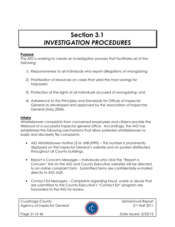## Section 3.1 INVESTIGATION PROCEDURES

#### **Purpose**

The AIG is working to create an investigation process that facilitates all of the following:

- 1) Responsiveness to all individuals who report allegations of wrongdoing;
- 2) Prioritization of resources on cases that yield the most savings for taxpayers;
- 3) Protection of the rights of all individuals accused of wrongdoing; and
- 4) Adherence to the Principles and Standards for Offices of Inspector General as developed and approved by the Association of Inspectors General (May 2004).

#### Intake

Whistleblower complaints from concerned employees and citizens provide the lifeblood of a successful inspector general office. Accordingly, the AIG has established the following mechanisms that allow potential whistleblowers to easily and discreetly file complaints:

- AIG Whistleblower Hotline (216-698-2999) This number is prominently displayed on the Inspector General's website and on posters distributed throughout all County buildings.
- Report a Concern Messages Individuals who click the "Report a Concern" link on the AIG and County Executive websites will be directed to an online complaint form. Submitted forms are confidentially e-mailed directly to AIG staff.
- Contact Ed Messages Complaints regarding fraud, waste or abuse that are submitted to the County Executive's "Contact Ed" program are forwarded to the AIG for review.

Cuyahoga County and Semiannual Report Agency of Inspector General 2012 2nd Half 2011



Page 21 of 46 **Date Issued: 2/23/12**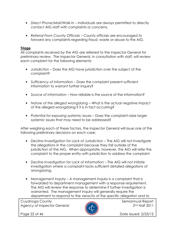- Direct Phone/Mail/Walk-In Individuals are always permitted to directly contact AIG staff with complaints or concerns.
- Referral From County Officials County officials are encouraged to forward any complaints regarding fraud, waste or abuse to the AIG.

#### **Triage**

All complaints received by the AIG are referred to the Inspector General for preliminary review. The Inspector General, in consultation with staff, will review each complaint for the following elements:

- Jurisdiction Does the AIG have jurisdiction over the subject of the complaint?
- Sufficiency of Information Does the complaint present sufficient information to warrant further inquiry?
- Source of information How reliable is the source of the information?
- Nature of the alleged wrongdoing What is the actual negative impact of the alleged wrongdoing if it is in fact occurring?
- Potential for exposing systemic issues Does the complaint raise larger systemic issues that may need to be addressed?

After weighing each of these factors, the Inspector General will issue one of the following preliminary decisions on each case:

- Decline Investigation for Lack of Jurisdiction The AIG will not investigate the allegations in the complaint because they fall outside of the jurisdiction of the AIG. When appropriate, however, the AIG will refer the complaint to the proper entity with jurisdiction to address the complaint.
- Decline Investigation for Lack of Information The AIG will not initiate investigation where a complaint lacks sufficient detailed allegations of wrongdoing.
- Management Inquiry A management inquiry is a complaint that is forwarded to department management with a response requirement. The AIG will review the response to determine if further investigation is warranted. The management inquiry will generally require the department to respond to the veracity of the specific allegation and to

Cuyahoga County **Semiannual Report** Semiannual Report Agency of Inspector General 2011



Page 22 of 46 **Date Issued: 2/23/12**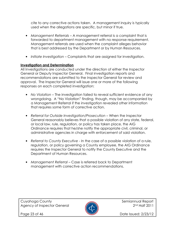cite to any corrective actions taken. A management inquiry is typically used when the allegations are specific, but minor if true.

- Management Referrals A management referral is a complaint that is forwarded to department management with no response requirement. Management referrals are used when the complaint alleges behavior that is best addressed by the Department or by Human Resources.
- Initiate Investigation Complaints that are assigned for investigation.

#### Investigation and Determination

All Investigations are conducted under the direction of either the Inspector General or Deputy Inspector General. Final investigation reports and recommendations are submitted to the Inspector General for review and approval. The Inspector General will issue one or more of the following responses on each completed investigation:

- No Violation The investigation failed to reveal sufficient evidence of any wrongdoing. A "No Violation" finding, though, may be accompanied by a Management Referral if the investigation revealed other information that requires some form of corrective action.
- Referral for Outside Investigation/Prosecution When the Inspector General reasonably believes that a possible violation of any state, federal, or local law, rule, regulation, or policy has taken place, the AIG Ordinance requires that he/she notify the appropriate civil, criminal, or administrative agencies in charge with enforcement of said violation.
- Referral to County Executive In the case of a possible violation of a rule, regulation, or policy governing a County employee, the AIG Ordinance requires the Inspector General to notify the County Executive and the Department of Human Resources.
- Management Referral Case is referred back to Department management with corrective action recommendations.

Cuyahoga County **Semiannual Report** Semiannual Report Agency of Inspector General 2012 2nd Half 2011



Page 23 of 46 **Date Issued: 2/23/12**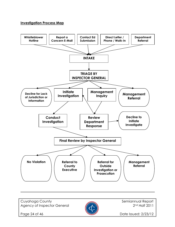#### Investigation Process Map



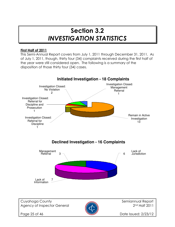### Section 3.2 INVESTIGATION STATISTICS

#### First Half of 2011

This Semi-Annual Report covers from July 1, 2011 through December 31, 2011. As of July 1, 2011, though, thirty four (34) complaints received during the first half of the year were still considered open. The following is a summary of the disposition of those thirty four (34) cases.

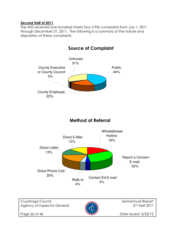#### Second Half of 2011

The AIG received one hundred ninety four (194) complaints from July 1, 2011 through December 31, 2011. The following is a summary of the nature and disposition of these complaints.



#### Source of Complaint

#### Method of Referral



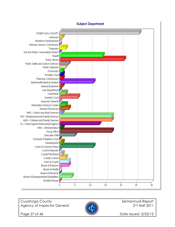

#### **Subject Department**

Cuyahoga County **Semiannual Report** Semiannual Report Agency of Inspector General 2011



Page 27 of 46 **Date Issued: 2/23/12**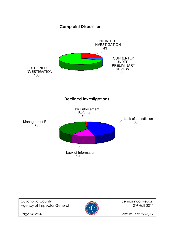#### Complaint Disposition



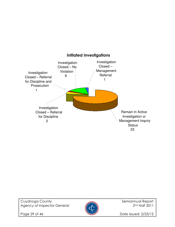



Page 29 of 46 **Date Issued: 2/23/12**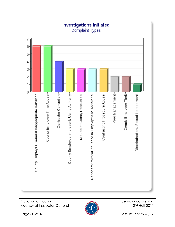

## **Investigations Initiated**

Cuyahoga County<br>Agency of Inspector General Agency of Inspector General Agency of Inspector Ceneral Agency of Inspector General



Page 30 of 46 **Date Issued: 2/23/12**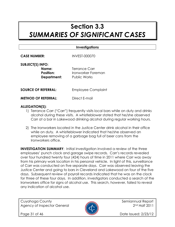### Section 3.3 SUMMARIES OF SIGNIFICANT CASES

#### **Investigations**

CASE NUMBER: INVEST-000070

| <b>SUBJECT(S) INFO:</b> |                    |
|-------------------------|--------------------|
| Name:                   | Terrance Carr      |
| Position:               | Ironworker Foreman |
| Department:             | Public Works       |
|                         |                    |

**SOURCE OF REFERRAL:** Employee Complaint

**METHOD OF REFERRAL:** Direct E-mail

#### ALLEGATION(S):

- 1) Terrance Carr ("Carr") frequently visits local bars while on duty and drinks alcohol during these visits. A whistleblower stated that he/she observed Carr at a bar in Lakewood drinking alcohol during regular working hours.
- 2) The Ironworkers located in the Justice Center drink alcohol in their office while on duty. A whistleblower indicated that he/she observed an employee removing of a garbage bag full of beer cans from the Ironworkers office.

**INVESTIGATION SUMMARY:** Initial investigation involved a review of the three employees' punch clock and garage swipe records. Carr's records revealed over four hundred twenty four (424) hours of time in 2011 where Carr was away from his primary work location in his personal vehicle. In light of this, surveillance of Carr was conducted on five separate days. Carr was observed leaving the Justice Center and going to bars in Cleveland and Lakewood on four of the five days. Subsequent review of payroll records indicated that he was on the clock for three of these four days. In addition, investigators conducted a search of the Ironworkers office for signs of alcohol use. This search, however, failed to reveal any indication of alcohol use.

Cuyahoga County **Semiannual Report** Semiannual Report Agency of Inspector General 2012 2nd Half 2011



Page 31 of 46 **Date Issued: 2/23/12**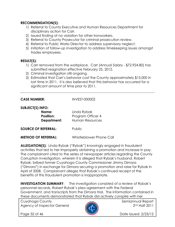#### RECOMMENDATION(S):

- 1) Referral to County Executive and Human Resources Department for disciplinary action for Carr.
- 2) Issued finding of no violation for other Ironworkers.
- 3) Referral to County Prosecutor for criminal prosecution review.
- 4) Referral to Public Works Director to address supervisory neglect.
- 5) Initiation of follow-up investigation to address timekeeping issues amongst trades employees.

#### RESULT(S):

- 1) Carr removed from the workplace. Carr (Annual Salary \$72,924.80) has submitted resignation effective February 25, 2012.
- 2) Criminal investigation still ongoing.
- 3) Estimated that Carr's behavior cost the County approximately \$15,000 in lost time in 2011. It is also believed that this behavior has occurred for a significant amount of time prior to 2011.

#### CASE NUMBER: INVEST-000002

#### SUBJECT(S) INFO:

| Name:                      | Linda Rybak              |
|----------------------------|--------------------------|
| <b>Position:</b>           | Program Officer 4        |
| Department:                | Human Resources          |
| <b>SOURCE OF REFERRAL:</b> | <b>Public</b>            |
| <b>METHOD OF REFERRAL:</b> | Whistleblower Phone Call |

ALLEGATION(S): Linda Rybak ("Rybak") knowingly engaged in fraudulent activities that led to her improperly obtaining a promotion and increase in pay. The complainant cited to the series of newspaper articles regarding the County Corruption Investigation, wherein it is alleged that Rybak's husband, Robert Rybak, bribed former Cuyahoga County Commissioner Jimmy Dimora ("Dimora") in exchange for Dimora securing a promotion and raise for Rybak in April of 2008. Complainant alleges that Rybak's continued receipt of the benefits of this fraudulent promotion is inappropriate.

INVESTIGATION SUMMARY: The investigation consisted of a review of Rybak's personnel records, Robert Rybak's plea agreement with the Federal Government, and transcripts from the Dimora trial. The information contained in these documents demonstrated that Rybak did actively conspire with her

Cuyahoga County **Semiannual Report** Semiannual Report Agency of Inspector General 2011



Page 32 of 46 **Date Issued: 2/23/12**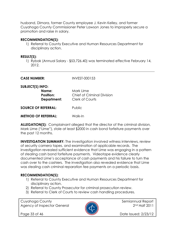husband, Dimora, former County employee J. Kevin Kelley, and former Cuyahoga County Commissioner Peter Lawson Jones to improperly secure a promotion and raise in salary.

#### RECOMMENDATION(S):

1) Referral to County Executive and Human Resources Department for disciplinary action.

#### RESULT(S):

1) Rybak (Annual Salary - \$53,726.40) was terminated effective February 14, 2012.

| <b>CASE NUMBER:</b>                                                 | INVEST-000153                                                            |
|---------------------------------------------------------------------|--------------------------------------------------------------------------|
| <b>SUBJECT(S) INFO:</b><br>Name:<br><b>Position:</b><br>Department: | Mark Lime<br><b>Chief of Criminal Division</b><br><b>Clerk of Courts</b> |
| <b>SOURCE OF REFERRAL:</b>                                          | Public                                                                   |
| <b>METHOD OF REFERRAL:</b>                                          | Walk-In                                                                  |

ALLEGATION(S): Complainant alleged that the director of the criminal division, Mark Lime ("Lime"), stole at least \$2000 in cash bond forfeiture payments over the past 12 months.

**INVESTIGATION SUMMARY:** The investigation involved witness interviews, review of security camera tapes, and examination of applicable records. The investigation revealed sufficient evidence that Lime was engaging in a pattern of stealing cash bond forfeiture payments. Videotape evidence clearly documented Lime's acceptance of cash payments and his failure to turn the cash over to the cashiers. The investigation also revealed evidence that Lime was stealing cash criminal reparation fee payments on a periodic basis.

#### RECOMMENDATION(S):

- 1) Referral to County Executive and Human Resources Department for disciplinary action.
- 2) Referral to County Prosecutor for criminal prosecution review.
- 3) Referral to Clerk of Courts to review cash handling procedures.

Cuyahoga County and Semiannual Report Agency of Inspector General 2011



Page 33 of 46 **Date Issued: 2/23/12**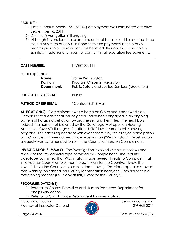#### RESULT(S):

- 1) Lime's (Annual Salary \$60,582.07) employment was terminated effective September 16, 2011.
- 2) Criminal investigation still ongoing.
- 3) Although it is unclear the exact amount that Lime stole, it is clear that Lime stole a minimum of \$2,500 in bond forfeiture payments in the twelve months prior to his termination. It is believed, though, that Lime stole a significant additional amount of cash criminal reparation fee payments.

| <b>CASE NUMBER:</b>        | INVEST-000111                                  |
|----------------------------|------------------------------------------------|
| <b>SUBJECT(S) INFO:</b>    |                                                |
| Name:                      | Tracie Washington                              |
| <b>Position:</b>           | Program Officer 2 (Mediator)                   |
| Department:                | Public Safety and Justice Services (Mediation) |
| <b>SOURCE OF REFERRAL:</b> | <b>Public</b>                                  |

METHOD OF REFERRAL: "Contact Ed" E-Mail

ALLEGATION(S): Complainant owns a home on Cleveland's near west side. Complainant alleged that her neighbors have been engaged in an ongoing pattern of harassing behavior towards herself and her sister. The neighbors resided in a home that is owned by the Cuyahoga Metropolitan Housing Authority ("CMHA") through a "scattered site" low income public housing program. This harassing behavior was exacerbated by the alleged participation of a County employee named Tracie Washington ("Washington"). Washington allegedly was using her position with the County to threaten Complainant.

INVESTIGATION SUMMARY: The investigation involved witness interviews and review of security camera tape provided by Complainant. The security videotape confirmed that Washington made several threats to Complaint that involved her County employment (e.g., "I work for the County…I know the law…I'll have the County at your door tomorrow."). The videotape also showed that Washington flashed her County Identification Badge to Complainant in a threatening manner (i.e., "look at this, I work for the County").

#### RECOMMENDATION(S):

- 1) Referral to County Executive and Human Resources Department for disciplinary action.
- 2) Referral to CMHA Police Department for investigation.

Cuyahoga County **Semiannual Report** Semiannual Report Agency of Inspector General 2011



Page 34 of 46 **Date Issued: 2/23/12**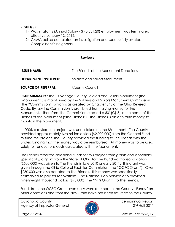#### RESULT(S):

- 1) Washington's (Annual Salary \$ 40,331.20) employment was terminated effective January 12, 2012.
- 2) CMHA police completed an investigation and successfully evicted Complainant's neighbors.

#### Reviews

| <b>ISSUE NAME:</b>          | The Friends of the Monument Donations |
|-----------------------------|---------------------------------------|
| <b>DEPARTMENT INVOLVED:</b> | Soldiers and Sailors Monument         |
| <b>SOURCE OF REFERRAL:</b>  | County Council                        |

**ISSUE SUMMARY:** The Cuyahoga County Soldiers and Sailors Monument (the "Monument") is maintained by the Soldiers and Sailors Monument Commission (the "Commission") which was created by Chapter 345 of the Ohio Revised Code. By law the Commission is prohibited from raising money for the Monument. Therefore, the Commission created a 501(C)(3) in the name of The Friends of the Monument ("The Friends"). The Friends is able to raise money to maintain the Monument.

In 2005, a restoration project was undertaken on the Monument. The County provided approximately two million dollars (\$2,000,000) from the General Fund to fund the project. The County provided the funding to The Friends with the understanding that the money would be reimbursed. All money was to be used solely for renovations costs associated with the Monument.

The Friends received additional funds for this project from grants and donations. Specifically, a grant from the State of Ohio for five hundred thousand dollars (\$500,000) was given to The Friends in late 2010 or early 2011. This grant was given through the Ohio Cultural Facilities Commission (the "OCFC Grant"). Over \$250,000 was also donated to The Friends. This money was specifically earmarked to pay for renovations. The National Park Service also provided ninety-eight thousand dollars (\$98,000) (the "NPS Grant") to The Friends.

Funds from the OCFC Grant eventually were returned to the County. Funds from other donations and from the NPS Grant have not been returned to the County.

Cuyahoga County and Semiannual Report Agency of Inspector General 2011



Page 35 of 46 **Date Issued: 2/23/12**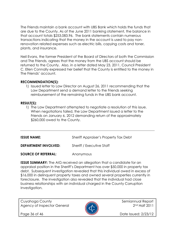The Friends maintain a bank account with UBS Bank which holds the funds that are due to the County. As of the June 2011 banking statement, the balance in that account totals \$253,083.96. The bank statements contain numerous transactions indicating that the money in the account is used to pay nonrenovation related expenses such as electric bills, copying costs and toner, plants, and insurance.

Neil Evans, the former President of the Board of Directors of both the Commission and The Friends, agrees that the money from the UBS account should be returned to the County. Also, in a letter dated May 23, 2011, Council President C. Ellen Connally expressed her belief that the County is entitled to the money in The Friends' account.

#### RECOMMENDATION(S):

1) Issued letter to Law Director on August 26, 2011 recommending that the Law Department send a demand letter to the Friends seeking reimbursement of the remaining funds in the UBS bank account.

#### RESULT(S):

1) The Law Department attempted to negotiate a resolution of this issue. When negotiations failed, the Law Department issued a letter to the Friends on January 6, 2012 demanding return of the approximately \$260,000 owed to the County.

**ISSUE NAME:** Sheriff Appraiser's Property Tax Debt

**DEPARTMENT INVOLVED:** Sheriff / Executive Staff

**SOURCE OF REFERRAL:** Anonymous

**ISSUE SUMMARY:** The AIG received an allegation that a candidate for an appraisal position in the Sheriff's Department has over \$50,000 in property tax debt. Subsequent investigation revealed that this individual owed in excess of \$16,000 in delinquent property taxes and owned several properties currently in foreclosure. The investigation also revealed that the individual had close business relationships with an individual charged in the County Corruption Investigation.

Cuyahoga County and Semiannual Report Agency of Inspector General 2011



Page 36 of 46 **Date Issued: 2/23/12**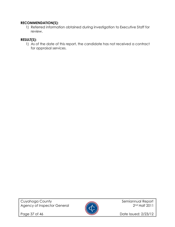#### RECOMMENDATION(S):

1) Referred information obtained during investigation to Executive Staff for review.

#### RESULT(S):

1) As of the date of this report, the candidate has not received a contract for appraisal services.

Cuyahoga County<br>Agency of Inspector General Agency of Inspector General Agency of Inspector General Agency of Inspector General



Page 37 of 46 **Date Issued: 2/23/12**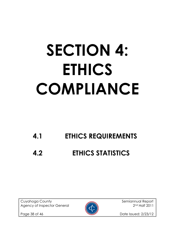## SECTION 4: ETHICS COMPLIANCE

## 4.1 ETHICS REQUIREMENTS

## 4.2 ETHICS STATISTICS

Cuyahoga County **Semiannual Report** Semiannual Report Agency of Inspector General 2012 2nd Half 2011



Page 38 of 46 **Date Issued: 2/23/12**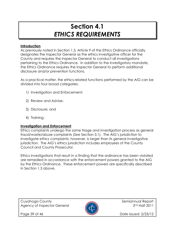## Section 4.1 ETHICS REQUIREMENTS

#### **Introduction**

As previously noted in Section 1.3, Article 9 of the Ethics Ordinance officially designates the Inspector General as the ethics investigative officer for the County and requires the Inspector General to conduct all investigations pertaining to the Ethics Ordinance. In addition to the investigatory mandate, the Ethics Ordinance requires the Inspector General to perform additional disclosure and/or prevention functions.

As a practical matter, the ethics-related functions performed by the AIG can be divided into four broad categories:

- 1) Investigation and Enforcement;
- 2) Review and Advise;
- 3) Disclosure; and
- 4) Training.

#### Investigation and Enforcement

Ethics complaints undergo the same triage and investigation process as general fraud/waste/abuse complaints (See Section 3.1). The AIG's jurisdiction to investigate ethics complaints, however, is larger than its general investigative jurisdiction. The AIG's ethics jurisdiction includes employees of the County Council and County Prosecutor.

Ethics investigations that result in a finding that the ordinance has been violated are remedied in accordance with the enforcement powers granted to the AIG by the Ethics Ordinance. These enforcement powers are specifically described in Section 1.3 above.

Cuyahoga County **Semiannual Report** Semiannual Report Agency of Inspector General 2012 2nd Half 2011



Page 39 of 46 **Date Issued: 2/23/12**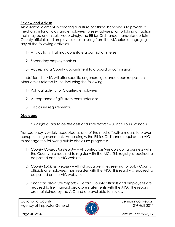#### Review and Advise

An essential element in creating a culture of ethical behavior is to provide a mechanism for officials and employees to seek advise prior to taking an action that may be unethical. Accordingly, the Ethics Ordinance mandates certain County officials and employees seek a ruling from the AIG prior to engaging in any of the following activities:

- 1) Any activity that may constitute a conflict of interest;
- 2) Secondary employment; or
- 3) Accepting a County appointment to a board or commission.

In addition, the AIG will offer specific or general guidance upon request on other ethics-related issues, including the following:

- 1) Political activity for Classified employees;
- 2) Acceptance of gifts from contractors; or
- 3) Disclosure requirements.

#### **Disclosure**

"Sunlight is said to be the best of disinfectants" – Justice Louis Brandeis

Transparency is widely accepted as one of the most effective means to prevent corruption in government. Accordingly, the Ethics Ordinance requires the AIG to manage the following public disclosure programs:

- 1) County Contractor Registry All contractors/vendors doing business with the County are required to register with the AIG. This registry is required to be posted on the AIG website.
- 2) County Lobbyist Registry All individuals/entities seeking to lobby County officials or employees must register with the AIG. This registry is required to be posted on the AIG website.
- 3) Financial Disclosure Reports Certain County officials and employees are required to file financial disclosure statements with the AIG. The reports are maintained by the AIG and are available for review.

Cuyahoga County **Semiannual Report** Semiannual Report Agency of Inspector General 2012 2nd Half 2011



Page 40 of 46 **Date Issued: 2/23/12**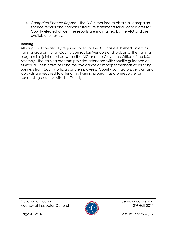4) Campaign Finance Reports - The AIG is required to obtain all campaign finance reports and financial disclosure statements for all candidates for County elected office. The reports are maintained by the AIG and are available for review.

#### **Training**

Although not specifically required to do so, the AIG has established an ethics training program for all County contractors/vendors and lobbyists. The training program is a joint effort between the AIG and the Cleveland Office of the U.S. Attorney. The training program provides attendees with specific guidance on ethical business practices and the avoidance of improper methods of soliciting business from County officials and employees. County contractors/vendors and lobbyists are required to attend this training program as a prerequisite for conducting business with the County.



Page 41 of 46 **Date Issued: 2/23/12**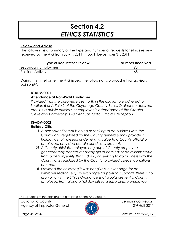## Section 4.2 ETHICS STATISTICS

#### Review and Advise

The following is a summary of the type and number of requests for ethics review received by the AIG from July 1, 2011 through December 31, 2011:

| <b>Type of Request for Review</b> | <b>Number Received</b> |
|-----------------------------------|------------------------|
| Secondary Employment              |                        |
| <b>Political Activity</b>         | 68                     |

During this timeframe, the AIG issued the following two broad ethics advisory opinions39:

#### IGADV-0001

#### Attendance at Non-Profit Fundraiser

Provided that the parameters set forth in this opinion are adhered to, Section 6 of Article 2 of the Cuyahoga County Ethics Ordinance does not prohibit a public official's or employee's attendance at the Greater Cleveland Partnership's 48th Annual Public Officials Reception.

#### IGADV-0002

#### Holiday Gifts

- 1) A person/entity that is doing or seeking to do business with the County or is regulated by the County generally may provide a holiday gift of nominal or de minimis value to a County official or employee, provided certain conditions are met.
- 2) A County official/employee or group of County employees generally may accept a holiday gift of nominal or de minimis value from a person/entity that is doing or seeking to do business with the County or is regulated by the County, provided certain conditions are met.
- 3) Provided the holiday gift was not given in exchange for an improper reason (e.g., in exchange for political support), there is no prohibition in the Ethics Ordinance that would prevent a County employee from giving a holiday gift to a subordinate employee.

Cuyahoga County **Semiannual Report** of the semiannual Report Agency of Inspector General 2012 2nd Half 2011



l

Page 42 of 46 **Date Issued: 2/23/12** 

<sup>39</sup> Full copies of the opinions are available on the AIG website.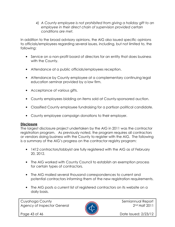4) A County employee is not prohibited from giving a holiday gift to an employee in their direct chain of supervision provided certain conditions are met.

In addition to the broad advisory opinions, the AIG also issued specific opinions to officials/employees regarding several issues, including, but not limited to, the following:

- Service on a non-profit board of directors for an entity that does business with the County.
- Attendance at a public officials/employees reception.
- Attendance by County employee at a complementary continuing legal education seminar provided by a law firm.
- Acceptance of various gifts.
- County employees bidding on items sold at County-sponsored auction.
- Classified County employee fundraising for a partisan political candidate.
- County employee campaign donations to their employer.

#### **Disclosure**

The largest disclosure project undertaken by the AIG in 2011 was the contractor registration program. As previously noted, the program requires all contractors or vendors doing business with the County to register with the AIG. The following is a summary of the AIG's progress on the contractor registry program:

- 1412 contractors/lobbyist are fully registered with the AIG as of February 20, 2012.
- The AIG worked with County Council to establish an exemption process for certain types of contractors.
- The AIG mailed several thousand correspondences to current and potential contractors informing them of the new registration requirements.
- The AIG posts a current list of registered contractors on its website on a daily basis.

Cuyahoga County **Semiannual Report** Semiannual Report Agency of Inspector General 2011



Page 43 of 46 **Date Issued: 2/23/12**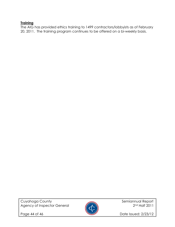#### **Training**

The AIG has provided ethics training to 1499 contractors/lobbyists as of February 20, 2011. The training program continues to be offered on a bi-weekly basis.

Cuyahoga County<br>Agency of Inspector General Agency of Inspector General Agency of Inspector General Agency of Inspector General



Page 44 of 46 **Date Issued: 2/23/12**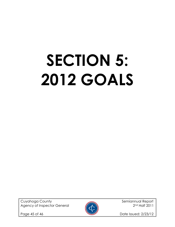# SECTION 5: 2012 GOALS

Cuyahoga County **Semiannual Report** Semiannual Report Agency of Inspector General 2012 2nd Half 2011



Page 45 of 46 **Date Issued: 2/23/12**